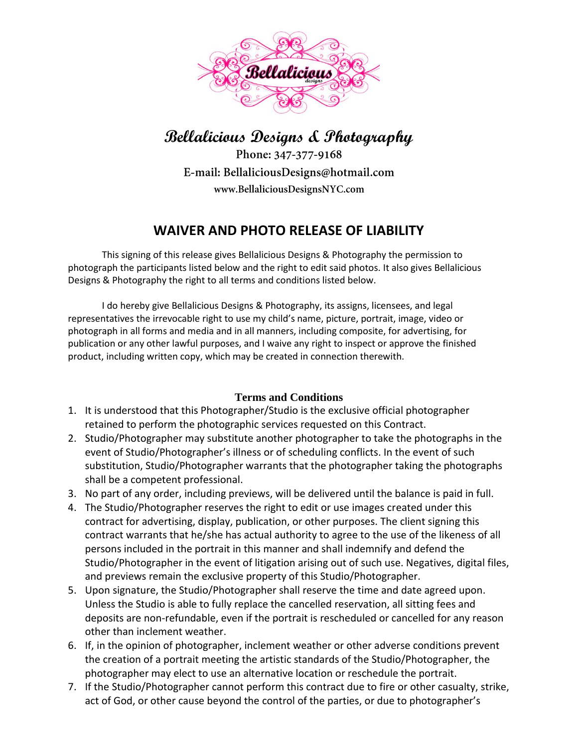

## **Bellalicious Designs & Photography**

Phone: 347-377-9168 E-mail: BellaliciousDesigns@hotmail.com www.BellaliciousDesignsNYC.com

## **WAIVER AND PHOTO RELEASE OF LIABILITY**

This signing of this release gives Bellalicious Designs & Photography the permission to photograph the participants listed below and the right to edit said photos. It also gives Bellalicious Designs & Photography the right to all terms and conditions listed below.

I do hereby give Bellalicious Designs & Photography, its assigns, licensees, and legal representatives the irrevocable right to use my child's name, picture, portrait, image, video or photograph in all forms and media and in all manners, including composite, for advertising, for publication or any other lawful purposes, and I waive any right to inspect or approve the finished product, including written copy, which may be created in connection therewith.

## **Terms and Conditions**

- 1. It is understood that this Photographer/Studio is the exclusive official photographer retained to perform the photographic services requested on this Contract.
- 2. Studio/Photographer may substitute another photographer to take the photographs in the event of Studio/Photographer's illness or of scheduling conflicts. In the event of such substitution, Studio/Photographer warrants that the photographer taking the photographs shall be a competent professional.
- 3. No part of any order, including previews, will be delivered until the balance is paid in full.
- 4. The Studio/Photographer reserves the right to edit or use images created under this contract for advertising, display, publication, or other purposes. The client signing this contract warrants that he/she has actual authority to agree to the use of the likeness of all persons included in the portrait in this manner and shall indemnify and defend the Studio/Photographer in the event of litigation arising out of such use. Negatives, digital files, and previews remain the exclusive property of this Studio/Photographer.
- 5. Upon signature, the Studio/Photographer shall reserve the time and date agreed upon. Unless the Studio is able to fully replace the cancelled reservation, all sitting fees and deposits are non-refundable, even if the portrait is rescheduled or cancelled for any reason other than inclement weather.
- 6. If, in the opinion of photographer, inclement weather or other adverse conditions prevent the creation of a portrait meeting the artistic standards of the Studio/Photographer, the photographer may elect to use an alternative location or reschedule the portrait.
- 7. If the Studio/Photographer cannot perform this contract due to fire or other casualty, strike, act of God, or other cause beyond the control of the parties, or due to photographer's